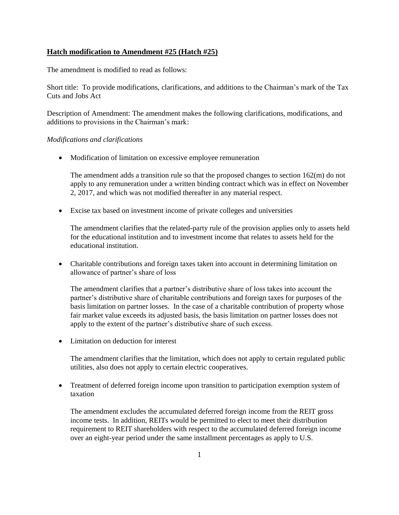## **Hatch modification to Amendment #25 (Hatch #25)**

The amendment is modified to read as follows:

Short title: To provide modifications, clarifications, and additions to the Chairman's mark of the Tax Cuts and Jobs Act

Description of Amendment: The amendment makes the following clarifications, modifications, and additions to provisions in the Chairman's mark:

## *Modifications and clarifications*

• Modification of limitation on excessive employee remuneration

The amendment adds a transition rule so that the proposed changes to section 162(m) do not apply to any remuneration under a written binding contract which was in effect on November 2, 2017, and which was not modified thereafter in any material respect.

Excise tax based on investment income of private colleges and universities

The amendment clarifies that the related-party rule of the provision applies only to assets held for the educational institution and to investment income that relates to assets held for the educational institution.

 Charitable contributions and foreign taxes taken into account in determining limitation on allowance of partner's share of loss

The amendment clarifies that a partner's distributive share of loss takes into account the partner's distributive share of charitable contributions and foreign taxes for purposes of the basis limitation on partner losses. In the case of a charitable contribution of property whose fair market value exceeds its adjusted basis, the basis limitation on partner losses does not apply to the extent of the partner's distributive share of such excess.

• Limitation on deduction for interest

The amendment clarifies that the limitation, which does not apply to certain regulated public utilities, also does not apply to certain electric cooperatives.

 Treatment of deferred foreign income upon transition to participation exemption system of taxation

The amendment excludes the accumulated deferred foreign income from the REIT gross income tests. In addition, REITs would be permitted to elect to meet their distribution requirement to REIT shareholders with respect to the accumulated deferred foreign income over an eight-year period under the same installment percentages as apply to U.S.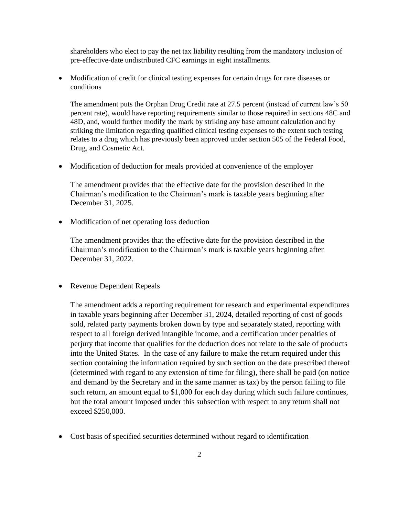shareholders who elect to pay the net tax liability resulting from the mandatory inclusion of pre-effective-date undistributed CFC earnings in eight installments.

 Modification of credit for clinical testing expenses for certain drugs for rare diseases or conditions

The amendment puts the Orphan Drug Credit rate at 27.5 percent (instead of current law's 50 percent rate), would have reporting requirements similar to those required in sections 48C and 48D, and, would further modify the mark by striking any base amount calculation and by striking the limitation regarding qualified clinical testing expenses to the extent such testing relates to a drug which has previously been approved under section 505 of the Federal Food, Drug, and Cosmetic Act.

Modification of deduction for meals provided at convenience of the employer

The amendment provides that the effective date for the provision described in the Chairman's modification to the Chairman's mark is taxable years beginning after December 31, 2025.

• Modification of net operating loss deduction

The amendment provides that the effective date for the provision described in the Chairman's modification to the Chairman's mark is taxable years beginning after December 31, 2022.

• Revenue Dependent Repeals

The amendment adds a reporting requirement for research and experimental expenditures in taxable years beginning after December 31, 2024, detailed reporting of cost of goods sold, related party payments broken down by type and separately stated, reporting with respect to all foreign derived intangible income, and a certification under penalties of perjury that income that qualifies for the deduction does not relate to the sale of products into the United States. In the case of any failure to make the return required under this section containing the information required by such section on the date prescribed thereof (determined with regard to any extension of time for filing), there shall be paid (on notice and demand by the Secretary and in the same manner as tax) by the person failing to file such return, an amount equal to \$1,000 for each day during which such failure continues, but the total amount imposed under this subsection with respect to any return shall not exceed \$250,000.

Cost basis of specified securities determined without regard to identification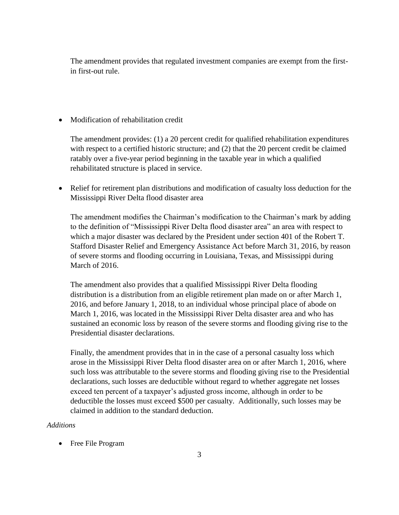The amendment provides that regulated investment companies are exempt from the firstin first-out rule.

• Modification of rehabilitation credit

The amendment provides: (1) a 20 percent credit for qualified rehabilitation expenditures with respect to a certified historic structure; and (2) that the 20 percent credit be claimed ratably over a five-year period beginning in the taxable year in which a qualified rehabilitated structure is placed in service.

 Relief for retirement plan distributions and modification of casualty loss deduction for the Mississippi River Delta flood disaster area

The amendment modifies the Chairman's modification to the Chairman's mark by adding to the definition of "Mississippi River Delta flood disaster area" an area with respect to which a major disaster was declared by the President under section 401 of the Robert T. Stafford Disaster Relief and Emergency Assistance Act before March 31, 2016, by reason of severe storms and flooding occurring in Louisiana, Texas, and Mississippi during March of 2016.

The amendment also provides that a qualified Mississippi River Delta flooding distribution is a distribution from an eligible retirement plan made on or after March 1, 2016, and before January 1, 2018, to an individual whose principal place of abode on March 1, 2016, was located in the Mississippi River Delta disaster area and who has sustained an economic loss by reason of the severe storms and flooding giving rise to the Presidential disaster declarations.

Finally, the amendment provides that in in the case of a personal casualty loss which arose in the Mississippi River Delta flood disaster area on or after March 1, 2016, where such loss was attributable to the severe storms and flooding giving rise to the Presidential declarations, such losses are deductible without regard to whether aggregate net losses exceed ten percent of a taxpayer's adjusted gross income, although in order to be deductible the losses must exceed \$500 per casualty. Additionally, such losses may be claimed in addition to the standard deduction.

## *Additions*

• Free File Program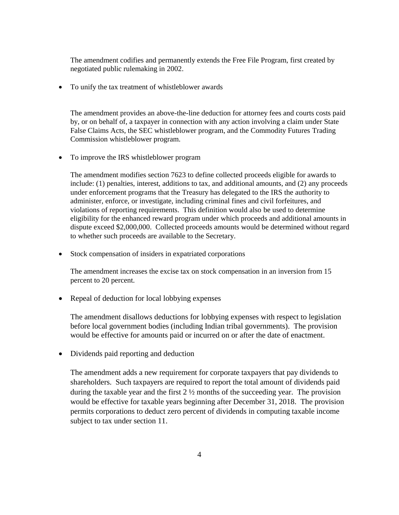The amendment codifies and permanently extends the Free File Program, first created by negotiated public rulemaking in 2002.

• To unify the tax treatment of whistleblower awards

The amendment provides an above-the-line deduction for attorney fees and courts costs paid by, or on behalf of, a taxpayer in connection with any action involving a claim under State False Claims Acts, the SEC whistleblower program, and the Commodity Futures Trading Commission whistleblower program.

• To improve the IRS whistleblower program

The amendment modifies section 7623 to define collected proceeds eligible for awards to include: (1) penalties, interest, additions to tax, and additional amounts, and (2) any proceeds under enforcement programs that the Treasury has delegated to the IRS the authority to administer, enforce, or investigate, including criminal fines and civil forfeitures, and violations of reporting requirements. This definition would also be used to determine eligibility for the enhanced reward program under which proceeds and additional amounts in dispute exceed \$2,000,000. Collected proceeds amounts would be determined without regard to whether such proceeds are available to the Secretary.

Stock compensation of insiders in expatriated corporations

The amendment increases the excise tax on stock compensation in an inversion from 15 percent to 20 percent.

• Repeal of deduction for local lobbying expenses

The amendment disallows deductions for lobbying expenses with respect to legislation before local government bodies (including Indian tribal governments). The provision would be effective for amounts paid or incurred on or after the date of enactment.

• Dividends paid reporting and deduction

The amendment adds a new requirement for corporate taxpayers that pay dividends to shareholders. Such taxpayers are required to report the total amount of dividends paid during the taxable year and the first 2 ½ months of the succeeding year. The provision would be effective for taxable years beginning after December 31, 2018. The provision permits corporations to deduct zero percent of dividends in computing taxable income subject to tax under section 11.